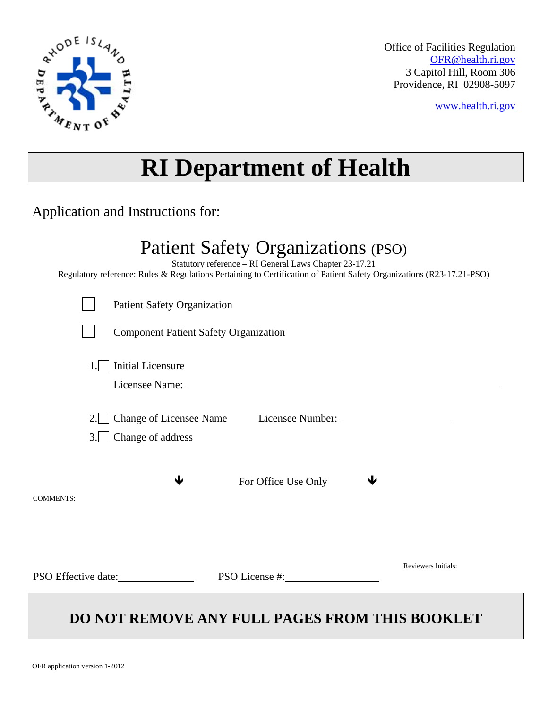

Office of Facilities Regulation [OFR@health.ri.gov](mailto:OFR@health.ri.gov) 3 Capitol Hill, Room 306 Providence, RI 02908-5097

[www.health.ri.gov](http://www.health.ri.gov/)

# **RI Department of Health**

Application and Instructions for:

## Patient Safety Organizations (PSO)

Statutory reference – RI General Laws Chapter 23-17.21

Regulatory reference: Rules & Regulations Pertaining to Certification of Patient Safety Organizations (R23-17.21-PSO)

| <b>Component Patient Safety Organization</b><br><b>Initial Licensure</b><br>1.<br>2.<br>Change of address<br>3.1<br>$\blacksquare$ | <b>Patient Safety Organization</b> |
|------------------------------------------------------------------------------------------------------------------------------------|------------------------------------|
|                                                                                                                                    |                                    |
|                                                                                                                                    |                                    |
|                                                                                                                                    |                                    |
|                                                                                                                                    |                                    |
| ↓<br>J<br>For Office Use Only                                                                                                      |                                    |
| <b>COMMENTS:</b>                                                                                                                   |                                    |
| <b>Reviewers Initials:</b>                                                                                                         |                                    |
| PSO Effective date:<br>PSO License #:                                                                                              |                                    |

### **DO NOT REMOVE ANY FULL PAGES FROM THIS BOOKLET**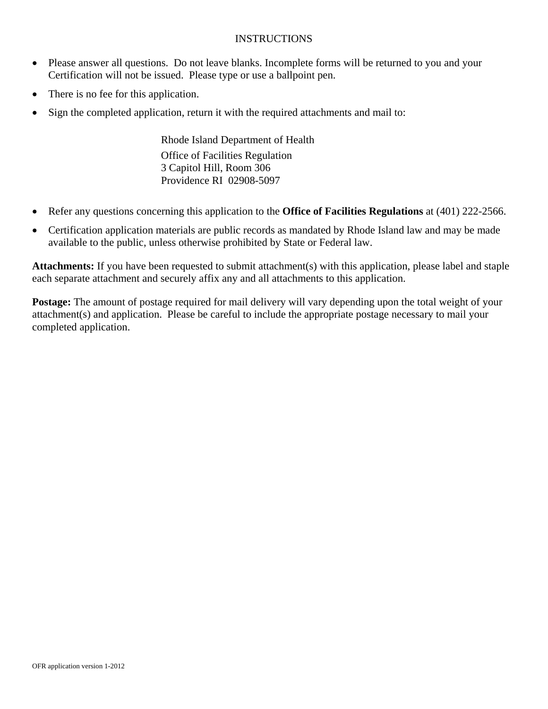#### INSTRUCTIONS

- Please answer all questions. Do not leave blanks. Incomplete forms will be returned to you and your Certification will not be issued. Please type or use a ballpoint pen.
- There is no fee for this application.
- Sign the completed application, return it with the required attachments and mail to:

Rhode Island Department of Health Office of Facilities Regulation 3 Capitol Hill, Room 306 Providence RI 02908-5097

- Refer any questions concerning this application to the **Office of Facilities Regulations** at (401) 222-2566.
- Certification application materials are public records as mandated by Rhode Island law and may be made available to the public, unless otherwise prohibited by State or Federal law.

**Attachments:** If you have been requested to submit attachment(s) with this application, please label and staple each separate attachment and securely affix any and all attachments to this application.

**Postage:** The amount of postage required for mail delivery will vary depending upon the total weight of your attachment(s) and application. Please be careful to include the appropriate postage necessary to mail your completed application.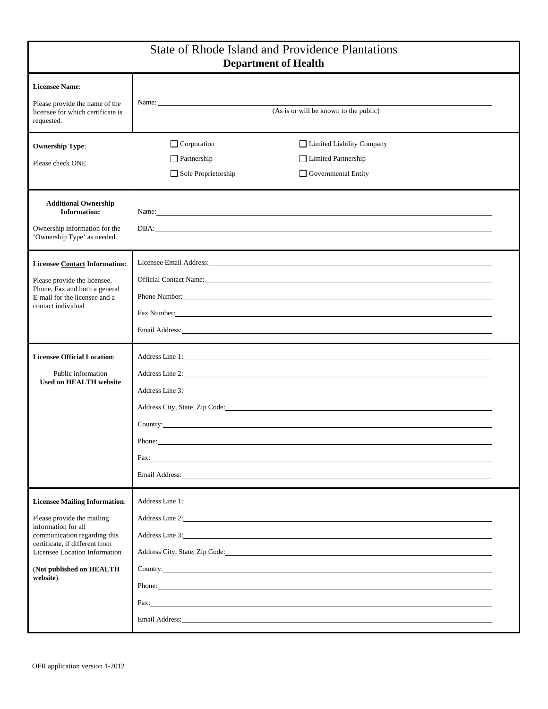| <b>State of Rhode Island and Providence Plantations</b><br><b>Department of Health</b>                                                                                                                                                |                                                                                                                                                                                                                                                                                                                                                                                                                                                                                                                                                                                                                                                                                                                                                                                                                                                                                                                                                                              |                                                                         |  |
|---------------------------------------------------------------------------------------------------------------------------------------------------------------------------------------------------------------------------------------|------------------------------------------------------------------------------------------------------------------------------------------------------------------------------------------------------------------------------------------------------------------------------------------------------------------------------------------------------------------------------------------------------------------------------------------------------------------------------------------------------------------------------------------------------------------------------------------------------------------------------------------------------------------------------------------------------------------------------------------------------------------------------------------------------------------------------------------------------------------------------------------------------------------------------------------------------------------------------|-------------------------------------------------------------------------|--|
| <b>Licensee Name:</b><br>Please provide the name of the<br>licensee for which certificate is<br>requested.                                                                                                                            | Name:<br>(As is or will be known to the public)                                                                                                                                                                                                                                                                                                                                                                                                                                                                                                                                                                                                                                                                                                                                                                                                                                                                                                                              |                                                                         |  |
| <b>Ownership Type:</b><br>Please check ONE                                                                                                                                                                                            | $\Box$ Corporation<br>$\Box$ Partnership<br>Sole Proprietorship                                                                                                                                                                                                                                                                                                                                                                                                                                                                                                                                                                                                                                                                                                                                                                                                                                                                                                              | Limited Liability Company<br>Limited Partnership<br>Governmental Entity |  |
| <b>Additional Ownership</b><br><b>Information:</b><br>Ownership information for the<br>'Ownership Type' as needed.                                                                                                                    | Name: Name: Name: Name: Name: Name: Name: Name: Name: Name: Name: Name: Name: Name: Name: Name: Name: Name: Name: Name: Name: Name: Name: Name: Name: Name: Name: Name: Name: Name: Name: Name: Name: Name: Name: Name: Name:<br>DBA: the contract of the contract of the contract of the contract of the contract of the contract of the contract of the contract of the contract of the contract of the contract of the contract of the contract of the contr                                                                                                                                                                                                                                                                                                                                                                                                                                                                                                              |                                                                         |  |
| <b>Licensee Contact Information:</b><br>Please provide the licensee.<br>Phone, Fax and both a general<br>E-mail for the licensee and a<br>contact individual                                                                          | Licensee Email Address: All Address: All Address: All Address: All Address: All Address: All Address: All Address: All Address: All Address: All Address: All Address: All Address: All Address: All Address: All Address: All<br>Official Contact Name: Name: Name: Name: Name: Name: Name: Name: Name: Name: Name: Name: Name: Name: Name: Name: Name: Name: Name: Name: Name: Name: Name: Name: Name: Name: Name: Name: Name: Name: Name: Name: Name: Name: N<br>Phone Number:<br>Fax Number: No. 2014 19:30 and 2014 19:30 and 2014 19:30 and 2014 19:30 and 2014 19:30 and 2014 19:30 and 2014                                                                                                                                                                                                                                                                                                                                                                          |                                                                         |  |
| <b>Licensee Official Location:</b><br>Public information<br><b>Used on HEALTH website</b>                                                                                                                                             | Address Line 2:<br>Address Line 3: Note that the contract of the contract of the contract of the contract of the contract of the contract of the contract of the contract of the contract of the contract of the contract of the contract of the<br>Address City, State, Zip Code: University of the Second State of the Second State of the Second State of the Second State of the Second State of the Second State of the Second State of the Second State of the Second State<br>Country: Country:<br>Phone:<br>Fax:<br>Email Address: The Second Second Second Second Second Second Second Second Second Second Second Second Second Second Second Second Second Second Second Second Second Second Second Second Second Second Second Second Second                                                                                                                                                                                                                    |                                                                         |  |
| <b>Licensee Mailing Information:</b><br>Please provide the mailing<br>information for all<br>communication regarding this<br>certificate, if different from<br>Licensee Location Information<br>(Not published on HEALTH<br>website). | Address Line 1: New York Contract the Contract of the Contract of the Contract of the Contract of the Contract of the Contract of the Contract of the Contract of the Contract of the Contract of the Contract of the Contract<br>Address Line 2: New York Contact the Contact of the Contact of the Contact of the Contact of the Contact of the Contact of the Contact of the Contact of the Contact of the Contact of the Contact of the Contact of the Conta<br>Address Line 3:<br>Country:<br>Phone:<br>Fax: The contract of the contract of the contract of the contract of the contract of the contract of the contract of the contract of the contract of the contract of the contract of the contract of the contract of the contr<br>Email Address: The Second Second Second Second Second Second Second Second Second Second Second Second Second Second Second Second Second Second Second Second Second Second Second Second Second Second Second Second Second |                                                                         |  |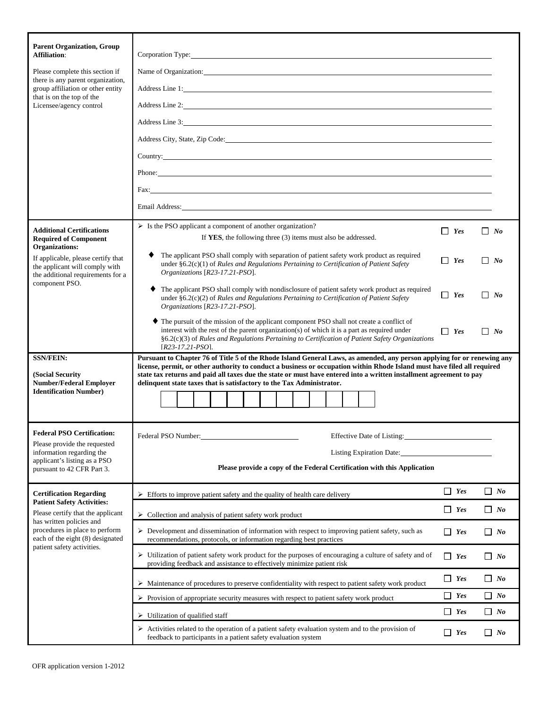| <b>Parent Organization, Group</b><br><b>Affiliation:</b><br>Please complete this section if<br>there is any parent organization,<br>group affiliation or other entity<br>that is on the top of the<br>Licensee/agency control | Corporation Type: The Communication of the Communication of the Communication of the Communication of the Communication of the Communication of the Communication of the Communication of the Communication of the Communicati<br>Name of Organization:<br>Address Line 1:<br>Address Line 2:<br>Address Line 3: No. 1996. The Second Second Second Second Second Second Second Second Second Second Second Second Second Second Second Second Second Second Second Second Second Second Second Second Second Second Second Sec<br>Address City, State, Zip Code: No. 2014. The Contract of the Contract of the Contract of the Contract of the Contract of the Contract of the Contract of the Contract of the Contract of the Contract of the Contract of the C<br>Country: Country:<br>Phone:<br>Fax: The contract of the contract of the contract of the contract of the contract of the contract of the contract of the contract of the contract of the contract of the contract of the contract of the contract of the contr<br>Email Address: No. 2014 19:30 and 2014 19:30 and 20:30 and 20:30 and 20:30 and 20:30 and 20:30 and 20:30 and 20:30 and 20:30 and 20:30 and 20:30 and 20:30 and 20:30 and 20:30 and 20:30 and 20:30 and 20:30 and 20:30 and 20: |                    |           |
|-------------------------------------------------------------------------------------------------------------------------------------------------------------------------------------------------------------------------------|----------------------------------------------------------------------------------------------------------------------------------------------------------------------------------------------------------------------------------------------------------------------------------------------------------------------------------------------------------------------------------------------------------------------------------------------------------------------------------------------------------------------------------------------------------------------------------------------------------------------------------------------------------------------------------------------------------------------------------------------------------------------------------------------------------------------------------------------------------------------------------------------------------------------------------------------------------------------------------------------------------------------------------------------------------------------------------------------------------------------------------------------------------------------------------------------------------------------------------------------------------------------|--------------------|-----------|
| <b>Additional Certifications</b><br><b>Required of Component</b>                                                                                                                                                              | > Is the PSO applicant a component of another organization?<br>If YES, the following three (3) items must also be addressed.                                                                                                                                                                                                                                                                                                                                                                                                                                                                                                                                                                                                                                                                                                                                                                                                                                                                                                                                                                                                                                                                                                                                         | $\Box$ Yes         | $\Box$ No |
| Organizations:<br>If applicable, please certify that<br>the applicant will comply with<br>the additional requirements for a                                                                                                   | The applicant PSO shall comply with separation of patient safety work product as required<br>under $§6.2(c)(1)$ of Rules and Regulations Pertaining to Certification of Patient Safety<br>Organizations [R23-17.21-PSO].                                                                                                                                                                                                                                                                                                                                                                                                                                                                                                                                                                                                                                                                                                                                                                                                                                                                                                                                                                                                                                             |                    | $\Box$ No |
| component PSO.                                                                                                                                                                                                                | The applicant PSO shall comply with nondisclosure of patient safety work product as required<br>under $§6.2(c)(2)$ of Rules and Regulations Pertaining to Certification of Patient Safety<br>Organizations [R23-17.21-PSO].                                                                                                                                                                                                                                                                                                                                                                                                                                                                                                                                                                                                                                                                                                                                                                                                                                                                                                                                                                                                                                          | $\Box$ Yes         | $\Box$ No |
|                                                                                                                                                                                                                               | • The pursuit of the mission of the applicant component PSO shall not create a conflict of<br>interest with the rest of the parent organization(s) of which it is a part as required under<br>$\Box$ Yes<br>$\Box$ No<br>§6.2(c)(3) of Rules and Regulations Pertaining to Certification of Patient Safety Organizations<br>$[R23-17.21-PSO]$ .                                                                                                                                                                                                                                                                                                                                                                                                                                                                                                                                                                                                                                                                                                                                                                                                                                                                                                                      |                    |           |
| <b>SSN/FEIN:</b><br>(Social Security                                                                                                                                                                                          | Pursuant to Chapter 76 of Title 5 of the Rhode Island General Laws, as amended, any person applying for or renewing any<br>license, permit, or other authority to conduct a business or occupation within Rhode Island must have filed all required<br>state tax returns and paid all taxes due the state or must have entered into a written installment agreement to pay                                                                                                                                                                                                                                                                                                                                                                                                                                                                                                                                                                                                                                                                                                                                                                                                                                                                                           |                    |           |
| <b>Number/Federal Employer</b><br><b>Identification Number)</b>                                                                                                                                                               | delinquent state taxes that is satisfactory to the Tax Administrator.                                                                                                                                                                                                                                                                                                                                                                                                                                                                                                                                                                                                                                                                                                                                                                                                                                                                                                                                                                                                                                                                                                                                                                                                |                    |           |
|                                                                                                                                                                                                                               |                                                                                                                                                                                                                                                                                                                                                                                                                                                                                                                                                                                                                                                                                                                                                                                                                                                                                                                                                                                                                                                                                                                                                                                                                                                                      |                    |           |
| <b>Federal PSO Certification:</b><br>Please provide the requested                                                                                                                                                             | Federal PSO Number:<br><b>Effective Date of Listing:</b>                                                                                                                                                                                                                                                                                                                                                                                                                                                                                                                                                                                                                                                                                                                                                                                                                                                                                                                                                                                                                                                                                                                                                                                                             |                    |           |
| information regarding the<br>applicant's listing as a PSO                                                                                                                                                                     | Listing Expiration Date:                                                                                                                                                                                                                                                                                                                                                                                                                                                                                                                                                                                                                                                                                                                                                                                                                                                                                                                                                                                                                                                                                                                                                                                                                                             |                    |           |
| pursuant to 42 CFR Part 3.                                                                                                                                                                                                    | Please provide a copy of the Federal Certification with this Application                                                                                                                                                                                                                                                                                                                                                                                                                                                                                                                                                                                                                                                                                                                                                                                                                                                                                                                                                                                                                                                                                                                                                                                             |                    |           |
| <b>Certification Regarding</b><br><b>Patient Safety Activities:</b>                                                                                                                                                           | $\triangleright$ Efforts to improve patient safety and the quality of health care delivery                                                                                                                                                                                                                                                                                                                                                                                                                                                                                                                                                                                                                                                                                                                                                                                                                                                                                                                                                                                                                                                                                                                                                                           | $\blacksquare$ Yes | $\Box$ No |
| Please certify that the applicant<br>has written policies and<br>procedures in place to perform<br>each of the eight (8) designated<br>patient safety activities.                                                             | $\triangleright$ Collection and analysis of patient safety work product                                                                                                                                                                                                                                                                                                                                                                                                                                                                                                                                                                                                                                                                                                                                                                                                                                                                                                                                                                                                                                                                                                                                                                                              | $\blacksquare$ Yes | $\Box$ No |
|                                                                                                                                                                                                                               | $\triangleright$ Development and dissemination of information with respect to improving patient safety, such as<br>recommendations, protocols, or information regarding best practices                                                                                                                                                                                                                                                                                                                                                                                                                                                                                                                                                                                                                                                                                                                                                                                                                                                                                                                                                                                                                                                                               |                    | $\Box$ No |
|                                                                                                                                                                                                                               | > Utilization of patient safety work product for the purposes of encouraging a culture of safety and of<br>providing feedback and assistance to effectively minimize patient risk                                                                                                                                                                                                                                                                                                                                                                                                                                                                                                                                                                                                                                                                                                                                                                                                                                                                                                                                                                                                                                                                                    | $\Box$ Yes         | $\Box$ No |
| $\triangleright$ Maintenance of procedures to preserve confidentiality with respect to patient safety work product                                                                                                            |                                                                                                                                                                                                                                                                                                                                                                                                                                                                                                                                                                                                                                                                                                                                                                                                                                                                                                                                                                                                                                                                                                                                                                                                                                                                      |                    | $\Box$ No |
|                                                                                                                                                                                                                               | $\Box$ No<br>$\Box$ Yes<br>$\triangleright$ Provision of appropriate security measures with respect to patient safety work product                                                                                                                                                                                                                                                                                                                                                                                                                                                                                                                                                                                                                                                                                                                                                                                                                                                                                                                                                                                                                                                                                                                                   |                    |           |
| $\Box$ Yes<br>$\triangleright$ Utilization of qualified staff                                                                                                                                                                 |                                                                                                                                                                                                                                                                                                                                                                                                                                                                                                                                                                                                                                                                                                                                                                                                                                                                                                                                                                                                                                                                                                                                                                                                                                                                      |                    | $\Box$ No |
|                                                                                                                                                                                                                               | > Activities related to the operation of a patient safety evaluation system and to the provision of<br>$\Box$ Yes<br>feedback to participants in a patient safety evaluation system                                                                                                                                                                                                                                                                                                                                                                                                                                                                                                                                                                                                                                                                                                                                                                                                                                                                                                                                                                                                                                                                                  |                    |           |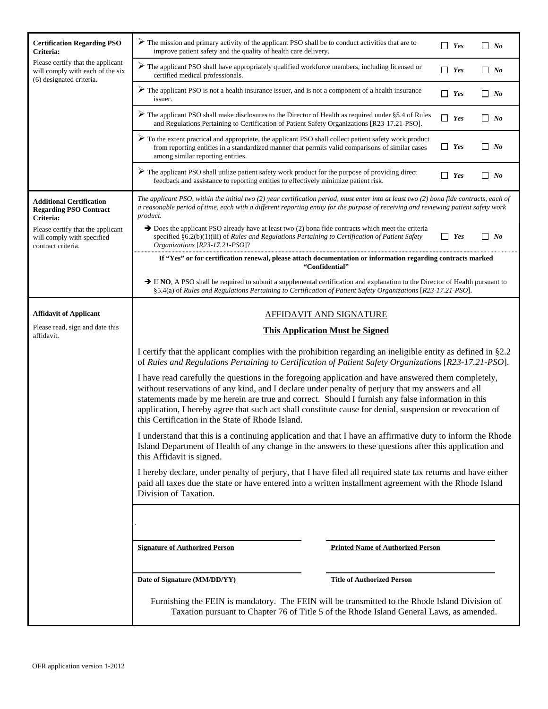| <b>Certification Regarding PSO</b><br>Criteria:                                                   | $\triangleright$ The mission and primary activity of the applicant PSO shall be to conduct activities that are to<br>$\Box$ Yes<br>improve patient safety and the quality of health care delivery.                                                                                                                                                                                                                                                                                                    |                                          |            | $\Box$ No |
|---------------------------------------------------------------------------------------------------|-------------------------------------------------------------------------------------------------------------------------------------------------------------------------------------------------------------------------------------------------------------------------------------------------------------------------------------------------------------------------------------------------------------------------------------------------------------------------------------------------------|------------------------------------------|------------|-----------|
| Please certify that the applicant<br>will comply with each of the six<br>(6) designated criteria. | $\triangleright$ The applicant PSO shall have appropriately qualified workforce members, including licensed or<br>certified medical professionals.                                                                                                                                                                                                                                                                                                                                                    |                                          | $\Box$ Yes | $\Box$ No |
|                                                                                                   | $\triangleright$ The applicant PSO is not a health insurance issuer, and is not a component of a health insurance<br>issuer.                                                                                                                                                                                                                                                                                                                                                                          |                                          |            | $\Box$ No |
|                                                                                                   | $\triangleright$ The applicant PSO shall make disclosures to the Director of Health as required under §5.4 of Rules<br>$\Box$ Yes<br>$\Box$ No<br>and Regulations Pertaining to Certification of Patient Safety Organizations [R23-17.21-PSO].                                                                                                                                                                                                                                                        |                                          |            |           |
|                                                                                                   | To the extent practical and appropriate, the applicant PSO shall collect patient safety work product<br>from reporting entities in a standardized manner that permits valid comparisons of similar cases<br>among similar reporting entities.                                                                                                                                                                                                                                                         |                                          | $\Box$ Yes | $\Box$ No |
|                                                                                                   | $\triangleright$ The applicant PSO shall utilize patient safety work product for the purpose of providing direct<br>feedback and assistance to reporting entities to effectively minimize patient risk.                                                                                                                                                                                                                                                                                               |                                          | $\Box$ Yes | $\Box$ No |
| <b>Additional Certification</b><br><b>Regarding PSO Contract</b><br>Criteria:                     | The applicant PSO, within the initial two $(2)$ year certification period, must enter into at least two $(2)$ bona fide contracts, each of<br>a reasonable period of time, each with a different reporting entity for the purpose of receiving and reviewing patient safety work<br>product.                                                                                                                                                                                                          |                                          |            |           |
| Please certify that the applicant<br>will comply with specified<br>contract criteria.             | $\rightarrow$ Does the applicant PSO already have at least two (2) bona fide contracts which meet the criteria<br>$\Box$ Yes<br>$\Box$ No<br>specified $\S6.2(b)(1)(iii)$ of Rules and Regulations Pertaining to Certification of Patient Safety<br>Organizations [R23-17.21-PSO]?                                                                                                                                                                                                                    |                                          |            |           |
|                                                                                                   | If "Yes" or for certification renewal, please attach documentation or information regarding contracts marked<br>"Confidential"                                                                                                                                                                                                                                                                                                                                                                        |                                          |            |           |
|                                                                                                   | If NO, A PSO shall be required to submit a supplemental certification and explanation to the Director of Health pursuant to<br>§5.4(a) of Rules and Regulations Pertaining to Certification of Patient Safety Organizations [R23-17.21-PSO].                                                                                                                                                                                                                                                          |                                          |            |           |
| <b>Affidavit of Applicant</b>                                                                     | <b>AFFIDAVIT AND SIGNATURE</b>                                                                                                                                                                                                                                                                                                                                                                                                                                                                        |                                          |            |           |
| Please read, sign and date this<br>affidavit.                                                     | <b>This Application Must be Signed</b>                                                                                                                                                                                                                                                                                                                                                                                                                                                                |                                          |            |           |
|                                                                                                   | I certify that the applicant complies with the prohibition regarding an ineligible entity as defined in §2.2<br>of Rules and Regulations Pertaining to Certification of Patient Safety Organizations [R23-17.21-PSO].                                                                                                                                                                                                                                                                                 |                                          |            |           |
|                                                                                                   | I have read carefully the questions in the foregoing application and have answered them completely,<br>without reservations of any kind, and I declare under penalty of perjury that my answers and all<br>statements made by me herein are true and correct. Should I furnish any false information in this<br>application, I hereby agree that such act shall constitute cause for denial, suspension or revocation of<br>this Certification in the State of Rhode Island.                          |                                          |            |           |
|                                                                                                   | I understand that this is a continuing application and that I have an affirmative duty to inform the Rhode<br>Island Department of Health of any change in the answers to these questions after this application and<br>this Affidavit is signed.<br>I hereby declare, under penalty of perjury, that I have filed all required state tax returns and have either<br>paid all taxes due the state or have entered into a written installment agreement with the Rhode Island<br>Division of Taxation. |                                          |            |           |
|                                                                                                   |                                                                                                                                                                                                                                                                                                                                                                                                                                                                                                       |                                          |            |           |
|                                                                                                   |                                                                                                                                                                                                                                                                                                                                                                                                                                                                                                       |                                          |            |           |
|                                                                                                   | <b>Signature of Authorized Person</b>                                                                                                                                                                                                                                                                                                                                                                                                                                                                 | <b>Printed Name of Authorized Person</b> |            |           |
|                                                                                                   | Date of Signature (MM/DD/YY)                                                                                                                                                                                                                                                                                                                                                                                                                                                                          | <b>Title of Authorized Person</b>        |            |           |
|                                                                                                   | Furnishing the FEIN is mandatory. The FEIN will be transmitted to the Rhode Island Division of<br>Taxation pursuant to Chapter 76 of Title 5 of the Rhode Island General Laws, as amended.                                                                                                                                                                                                                                                                                                            |                                          |            |           |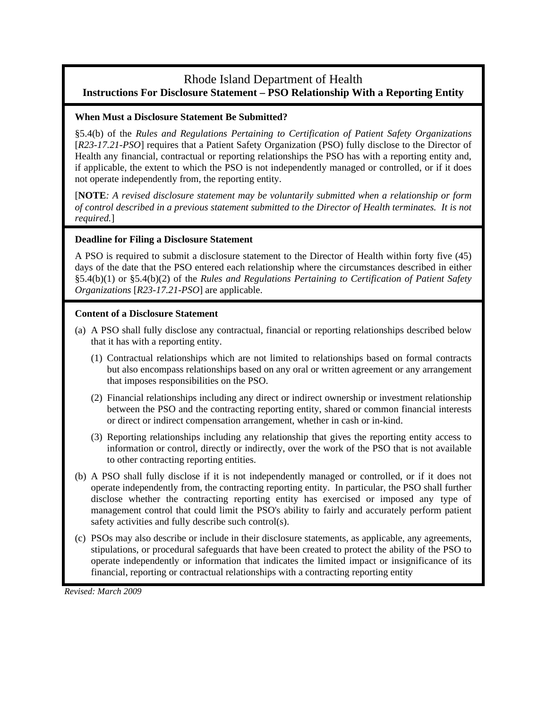#### Rhode Island Department of Health **Instructions For Disclosure Statement – PSO Relationship With a Reporting Entity**

#### **When Must a Disclosure Statement Be Submitted?**

§5.4(b) of the *Rules and Regulations Pertaining to Certification of Patient Safety Organizations* [*R23-17.21-PSO*] requires that a Patient Safety Organization (PSO) fully disclose to the Director of Health any financial, contractual or reporting relationships the PSO has with a reporting entity and, if applicable, the extent to which the PSO is not independently managed or controlled, or if it does not operate independently from, the reporting entity.

[**NOTE***: A revised disclosure statement may be voluntarily submitted when a relationship or form of control described in a previous statement submitted to the Director of Health terminates. It is not required.*]

#### **Deadline for Filing a Disclosure Statement**

A PSO is required to submit a disclosure statement to the Director of Health within forty five (45) days of the date that the PSO entered each relationship where the circumstances described in either §5.4(b)(1) or §5.4(b)(2) of the *Rules and Regulations Pertaining to Certification of Patient Safety Organizations* [*R23-17.21-PSO*] are applicable.

#### **Content of a Disclosure Statement**

- (a) A PSO shall fully disclose any contractual, financial or reporting relationships described below that it has with a reporting entity.
	- (1) Contractual relationships which are not limited to relationships based on formal contracts but also encompass relationships based on any oral or written agreement or any arrangement that imposes responsibilities on the PSO.
	- (2) Financial relationships including any direct or indirect ownership or investment relationship between the PSO and the contracting reporting entity, shared or common financial interests or direct or indirect compensation arrangement, whether in cash or in-kind.
	- (3) Reporting relationships including any relationship that gives the reporting entity access to information or control, directly or indirectly, over the work of the PSO that is not available to other contracting reporting entities.
- (b) A PSO shall fully disclose if it is not independently managed or controlled, or if it does not operate independently from, the contracting reporting entity. In particular, the PSO shall further disclose whether the contracting reporting entity has exercised or imposed any type of management control that could limit the PSO's ability to fairly and accurately perform patient safety activities and fully describe such control(s).
- (c) PSOs may also describe or include in their disclosure statements, as applicable, any agreements, stipulations, or procedural safeguards that have been created to protect the ability of the PSO to operate independently or information that indicates the limited impact or insignificance of its financial, reporting or contractual relationships with a contracting reporting entity

*Revised: March 2009*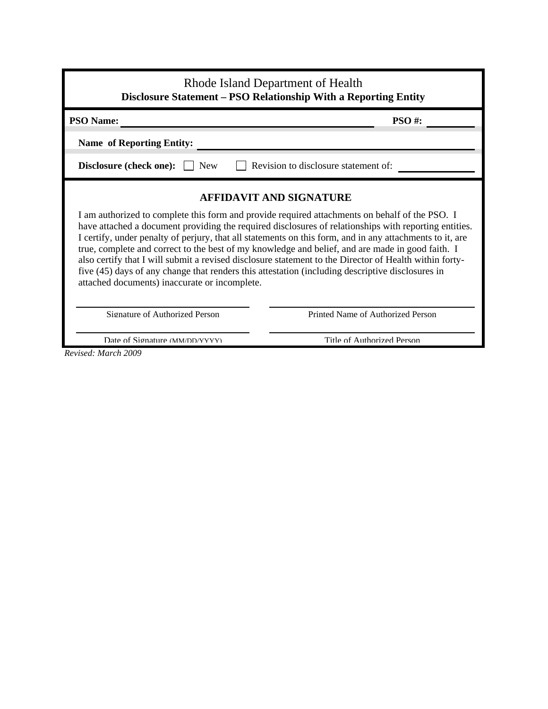| Rhode Island Department of Health<br><b>Disclosure Statement - PSO Relationship With a Reporting Entity</b>                                                                                                                                                                                                                                                                                                                                                                                                                                                                                                                                                                                                              |                                   |  |
|--------------------------------------------------------------------------------------------------------------------------------------------------------------------------------------------------------------------------------------------------------------------------------------------------------------------------------------------------------------------------------------------------------------------------------------------------------------------------------------------------------------------------------------------------------------------------------------------------------------------------------------------------------------------------------------------------------------------------|-----------------------------------|--|
| <b>PSO Name:</b><br><b>PSO#:</b>                                                                                                                                                                                                                                                                                                                                                                                                                                                                                                                                                                                                                                                                                         |                                   |  |
| <b>Name of Reporting Entity:</b>                                                                                                                                                                                                                                                                                                                                                                                                                                                                                                                                                                                                                                                                                         |                                   |  |
| Revision to disclosure statement of:<br><b>Disclosure (check one):</b><br>$\vert$   New                                                                                                                                                                                                                                                                                                                                                                                                                                                                                                                                                                                                                                  |                                   |  |
| <b>AFFIDAVIT AND SIGNATURE</b><br>I am authorized to complete this form and provide required attachments on behalf of the PSO. I<br>have attached a document providing the required disclosures of relationships with reporting entities.<br>I certify, under penalty of perjury, that all statements on this form, and in any attachments to it, are<br>true, complete and correct to the best of my knowledge and belief, and are made in good faith. I<br>also certify that I will submit a revised disclosure statement to the Director of Health within forty-<br>five (45) days of any change that renders this attestation (including descriptive disclosures in<br>attached documents) inaccurate or incomplete. |                                   |  |
| Signature of Authorized Person                                                                                                                                                                                                                                                                                                                                                                                                                                                                                                                                                                                                                                                                                           | Printed Name of Authorized Person |  |
| Date of Signature (MM/DD/YYYY)<br>Title of Authorized Person                                                                                                                                                                                                                                                                                                                                                                                                                                                                                                                                                                                                                                                             |                                   |  |

*Revised: March 2009*